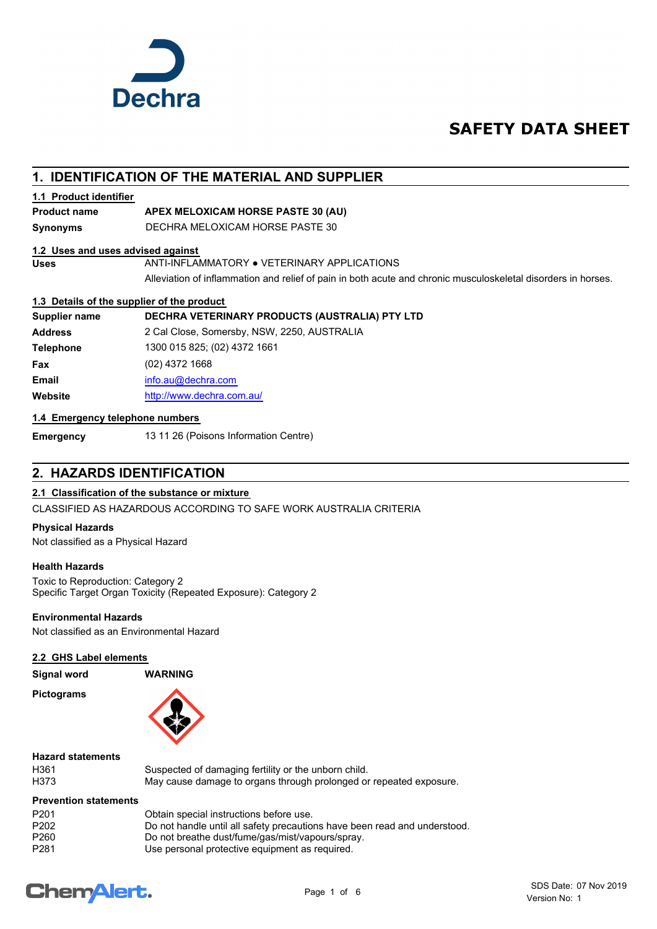

## **SAFETY DATA SHEET**

## **1. IDENTIFICATION OF THE MATERIAL AND SUPPLIER**

#### **1.1 Product identifier**

#### **Product name APEX MELOXICAM HORSE PASTE 30 (AU)**

**Synonyms** DECHRA MELOXICAM HORSE PASTE 30

#### **1.2 Uses and uses advised against**

Uses **ANTI-INFLAMMATORY . VETERINARY APPLICATIONS** 

Alleviation of inflammation and relief of pain in both acute and chronic musculoskeletal disorders in horses.

#### **1.3 Details of the supplier of the product**

| Supplier name    | DECHRA VETERINARY PRODUCTS (AUSTRALIA) PTY LTD |
|------------------|------------------------------------------------|
| <b>Address</b>   | 2 Cal Close, Somersby, NSW, 2250, AUSTRALIA    |
| <b>Telephone</b> | 1300 015 825; (02) 4372 1661                   |
| Fax              | $(02)$ 4372 1668                               |
| <b>Email</b>     | info.au@dechra.com                             |
| Website          | http://www.dechra.com.au/                      |

#### **1.4 Emergency telephone numbers**

**Emergency** 13 11 26 (Poisons Information Centre)

## **2. HAZARDS IDENTIFICATION**

#### **2.1 Classification of the substance or mixture**

CLASSIFIED AS HAZARDOUS ACCORDING TO SAFE WORK AUSTRALIA CRITERIA

#### **Physical Hazards**

Not classified as a Physical Hazard

#### **Health Hazards**

Toxic to Reproduction: Category 2 Specific Target Organ Toxicity (Repeated Exposure): Category 2

#### **Environmental Hazards**

Not classified as an Environmental Hazard

#### **2.2 GHS Label elements**

**Signal word WARNING**

**Pictograms**



## **Hazard statements**

H361 Suspected of damaging fertility or the unborn child.<br>H373 May cause damage to organs through prolonged or May cause damage to organs through prolonged or repeated exposure.

#### **Prevention statements**

| P <sub>201</sub> | Obtain special instructions before use.                                   |
|------------------|---------------------------------------------------------------------------|
| P <sub>202</sub> | Do not handle until all safety precautions have been read and understood. |
| P <sub>260</sub> | Do not breathe dust/fume/gas/mist/vapours/spray.                          |
| P <sub>281</sub> | Use personal protective equipment as required.                            |

## **ChemAlert.**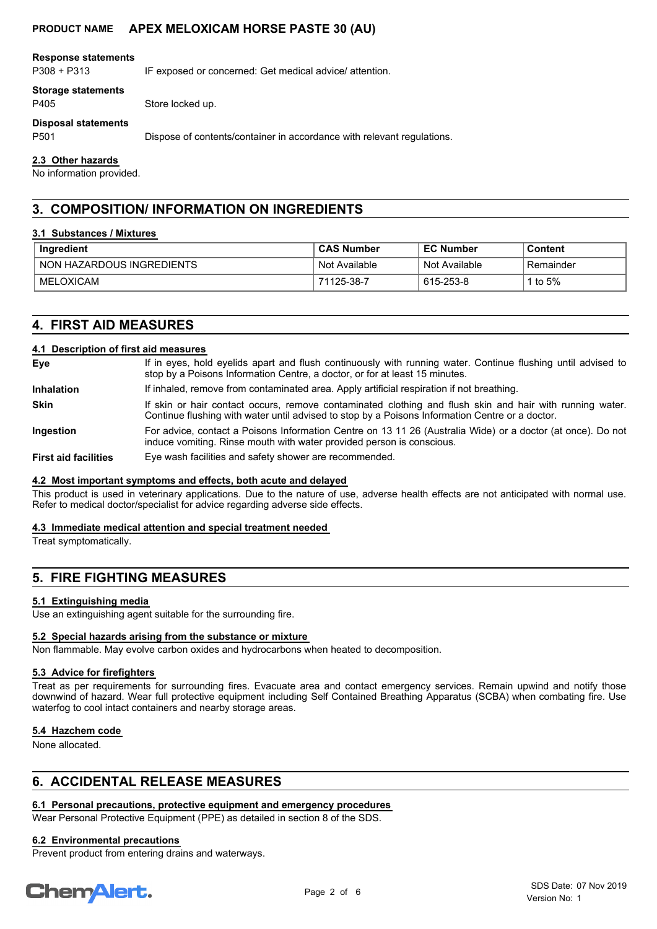#### **Response statements**

P308 + P313 IF exposed or concerned: Get medical advice/ attention.

#### **Storage statements**

P405 Store locked up.

**Disposal statements**

P501 Dispose of contents/container in accordance with relevant regulations.

#### **2.3 Other hazards**

No information provided.

## **3. COMPOSITION/ INFORMATION ON INGREDIENTS**

#### **3.1 Substances / Mixtures**

| Ingredient                | <b>CAS Number</b> | <b>EC Number</b> | Content   |
|---------------------------|-------------------|------------------|-----------|
| NON HAZARDOUS INGREDIENTS | Not Available     | Not Available    | Remainder |
| MELOXICAM                 | 71125-38-7        | 615-253-8        | to $5%$   |

## **4. FIRST AID MEASURES**

#### **4.1 Description of first aid measures**

| Eye                         | If in eyes, hold eyelids apart and flush continuously with running water. Continue flushing until advised to<br>stop by a Poisons Information Centre, a doctor, or for at least 15 minutes.                 |
|-----------------------------|-------------------------------------------------------------------------------------------------------------------------------------------------------------------------------------------------------------|
| <b>Inhalation</b>           | If inhaled, remove from contaminated area. Apply artificial respiration if not breathing.                                                                                                                   |
| <b>Skin</b>                 | If skin or hair contact occurs, remove contaminated clothing and flush skin and hair with running water.<br>Continue flushing with water until advised to stop by a Poisons Information Centre or a doctor. |
| <b>Ingestion</b>            | For advice, contact a Poisons Information Centre on 13 11 26 (Australia Wide) or a doctor (at once). Do not<br>induce vomiting. Rinse mouth with water provided person is conscious.                        |
| <b>First aid facilities</b> | Eye wash facilities and safety shower are recommended.                                                                                                                                                      |

#### **4.2 Most important symptoms and effects, both acute and delayed**

This product is used in veterinary applications. Due to the nature of use, adverse health effects are not anticipated with normal use. Refer to medical doctor/specialist for advice regarding adverse side effects.

#### **4.3 Immediate medical attention and special treatment needed**

Treat symptomatically.

## **5. FIRE FIGHTING MEASURES**

#### **5.1 Extinguishing media**

Use an extinguishing agent suitable for the surrounding fire.

#### **5.2 Special hazards arising from the substance or mixture**

Non flammable. May evolve carbon oxides and hydrocarbons when heated to decomposition.

#### **5.3 Advice for firefighters**

Treat as per requirements for surrounding fires. Evacuate area and contact emergency services. Remain upwind and notify those downwind of hazard. Wear full protective equipment including Self Contained Breathing Apparatus (SCBA) when combating fire. Use waterfog to cool intact containers and nearby storage areas.

#### **5.4 Hazchem code**

None allocated.

## **6. ACCIDENTAL RELEASE MEASURES**

## **6.1 Personal precautions, protective equipment and emergency procedures**

Wear Personal Protective Equipment (PPE) as detailed in section 8 of the SDS.

#### **6.2 Environmental precautions**

Prevent product from entering drains and waterways.

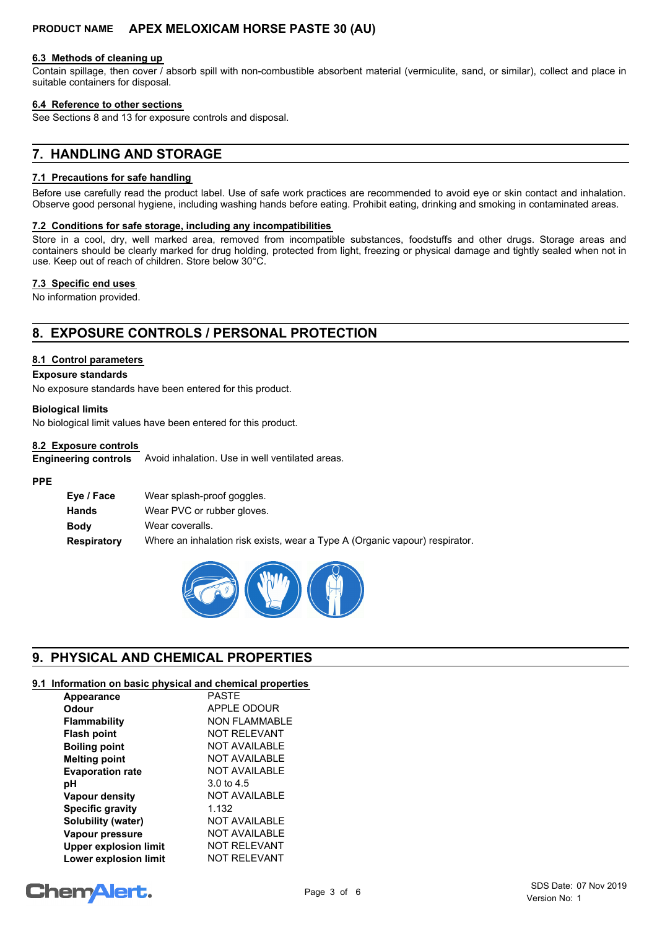#### **6.3 Methods of cleaning up**

Contain spillage, then cover / absorb spill with non-combustible absorbent material (vermiculite, sand, or similar), collect and place in suitable containers for disposal.

#### **6.4 Reference to other sections**

See Sections 8 and 13 for exposure controls and disposal.

## **7. HANDLING AND STORAGE**

#### **7.1 Precautions for safe handling**

Before use carefully read the product label. Use of safe work practices are recommended to avoid eye or skin contact and inhalation. Observe good personal hygiene, including washing hands before eating. Prohibit eating, drinking and smoking in contaminated areas.

#### **7.2 Conditions for safe storage, including any incompatibilities**

Store in a cool, dry, well marked area, removed from incompatible substances, foodstuffs and other drugs. Storage areas and containers should be clearly marked for drug holding, protected from light, freezing or physical damage and tightly sealed when not in use. Keep out of reach of children. Store below 30°C.

#### **7.3 Specific end uses**

No information provided.

## **8. EXPOSURE CONTROLS / PERSONAL PROTECTION**

#### **8.1 Control parameters**

#### **Exposure standards**

No exposure standards have been entered for this product.

#### **Biological limits**

No biological limit values have been entered for this product.

#### **8.2 Exposure controls**

Avoid inhalation. Use in well ventilated areas. **Engineering controls**

#### **PPE**

| Eye / Face         | Wear splash-proof goggles.                                                  |
|--------------------|-----------------------------------------------------------------------------|
| Hands              | Wear PVC or rubber gloves.                                                  |
| <b>Body</b>        | Wear coveralls.                                                             |
| <b>Respiratory</b> | Where an inhalation risk exists, wear a Type A (Organic vapour) respirator. |



## **9. PHYSICAL AND CHEMICAL PROPERTIES**

#### **9.1 Information on basic physical and chemical properties**

| Appearance                   | <b>PASTE</b>          |
|------------------------------|-----------------------|
| Odour                        | APPLE ODOUR           |
| <b>Flammability</b>          | <b>NON FLAMMABLE</b>  |
| <b>Flash point</b>           | NOT REI EVANT         |
| <b>Boiling point</b>         | <b>NOT AVAILABLE</b>  |
| <b>Melting point</b>         | NOT AVAILABLE         |
| <b>Evaporation rate</b>      | <b>NOT AVAILABLE</b>  |
| pН                           | $3.0 \text{ to } 4.5$ |
| <b>Vapour density</b>        | <b>NOT AVAILABLE</b>  |
| <b>Specific gravity</b>      | 1.132                 |
| Solubility (water)           | <b>NOT AVAILABLE</b>  |
| Vapour pressure              | NOT AVAILABLE         |
| <b>Upper explosion limit</b> | <b>NOT RELEVANT</b>   |
| <b>Lower explosion limit</b> | <b>NOT RELEVANT</b>   |

# **ChemAlert.**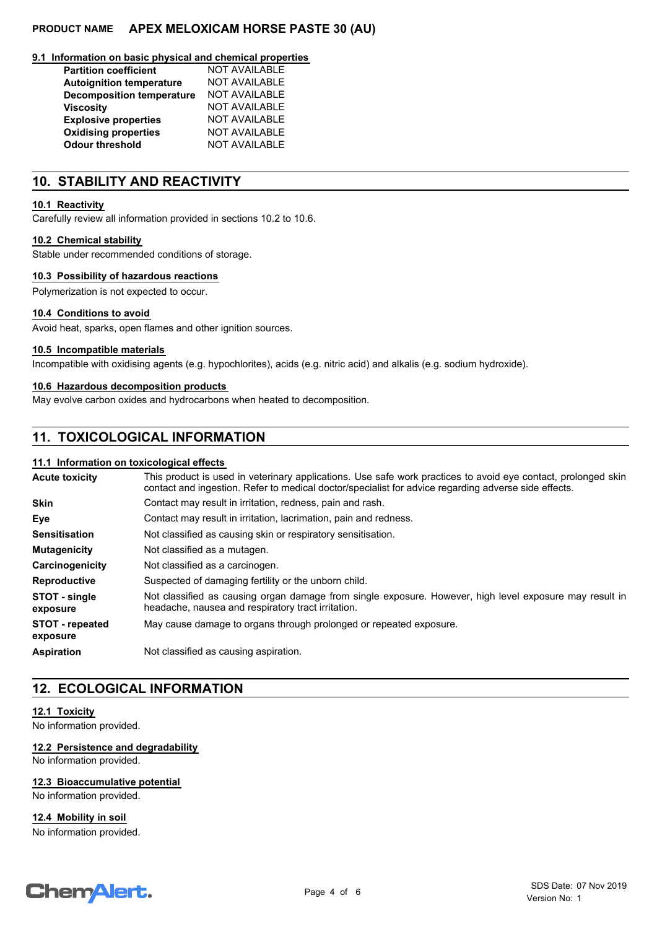#### **9.1 Information on basic physical and chemical properties**

| <b>Partition coefficient</b>     | <b>NOT AVAILABLE</b> |
|----------------------------------|----------------------|
| <b>Autoignition temperature</b>  | <b>NOT AVAILABLE</b> |
| <b>Decomposition temperature</b> | <b>NOT AVAILABLE</b> |
| <b>Viscosity</b>                 | <b>NOT AVAILABLE</b> |
| <b>Explosive properties</b>      | <b>NOT AVAILABLE</b> |
| <b>Oxidising properties</b>      | <b>NOT AVAILABLE</b> |
| <b>Odour threshold</b>           | <b>NOT AVAILABLE</b> |

## **10. STABILITY AND REACTIVITY**

#### **10.1 Reactivity**

Carefully review all information provided in sections 10.2 to 10.6.

#### **10.2 Chemical stability**

Stable under recommended conditions of storage.

## **10.3 Possibility of hazardous reactions**

Polymerization is not expected to occur.

## **10.4 Conditions to avoid**

Avoid heat, sparks, open flames and other ignition sources.

#### **10.5 Incompatible materials**

Incompatible with oxidising agents (e.g. hypochlorites), acids (e.g. nitric acid) and alkalis (e.g. sodium hydroxide).

## **10.6 Hazardous decomposition products**

May evolve carbon oxides and hydrocarbons when heated to decomposition.

## **11. TOXICOLOGICAL INFORMATION**

## **11.1 Information on toxicological effects**

| <b>Acute toxicity</b>              | This product is used in veterinary applications. Use safe work practices to avoid eye contact, prolonged skin<br>contact and ingestion. Refer to medical doctor/specialist for advice regarding adverse side effects. |  |  |
|------------------------------------|-----------------------------------------------------------------------------------------------------------------------------------------------------------------------------------------------------------------------|--|--|
| <b>Skin</b>                        | Contact may result in irritation, redness, pain and rash.                                                                                                                                                             |  |  |
| Eye                                | Contact may result in irritation, lacrimation, pain and redness.                                                                                                                                                      |  |  |
| <b>Sensitisation</b>               | Not classified as causing skin or respiratory sensitisation.                                                                                                                                                          |  |  |
| <b>Mutagenicity</b>                | Not classified as a mutagen.                                                                                                                                                                                          |  |  |
| Carcinogenicity                    | Not classified as a carcinogen.                                                                                                                                                                                       |  |  |
| <b>Reproductive</b>                | Suspected of damaging fertility or the unborn child.                                                                                                                                                                  |  |  |
| STOT - single<br>exposure          | Not classified as causing organ damage from single exposure. However, high level exposure may result in<br>headache, nausea and respiratory tract irritation.                                                         |  |  |
| <b>STOT - repeated</b><br>exposure | May cause damage to organs through prolonged or repeated exposure.                                                                                                                                                    |  |  |
| <b>Aspiration</b>                  | Not classified as causing aspiration.                                                                                                                                                                                 |  |  |
|                                    |                                                                                                                                                                                                                       |  |  |

## **12. ECOLOGICAL INFORMATION**

## **12.1 Toxicity**

No information provided.

## **12.2 Persistence and degradability**

No information provided.

## **12.3 Bioaccumulative potential**

No information provided.

## **12.4 Mobility in soil**

No information provided.

# **ChemAlert.**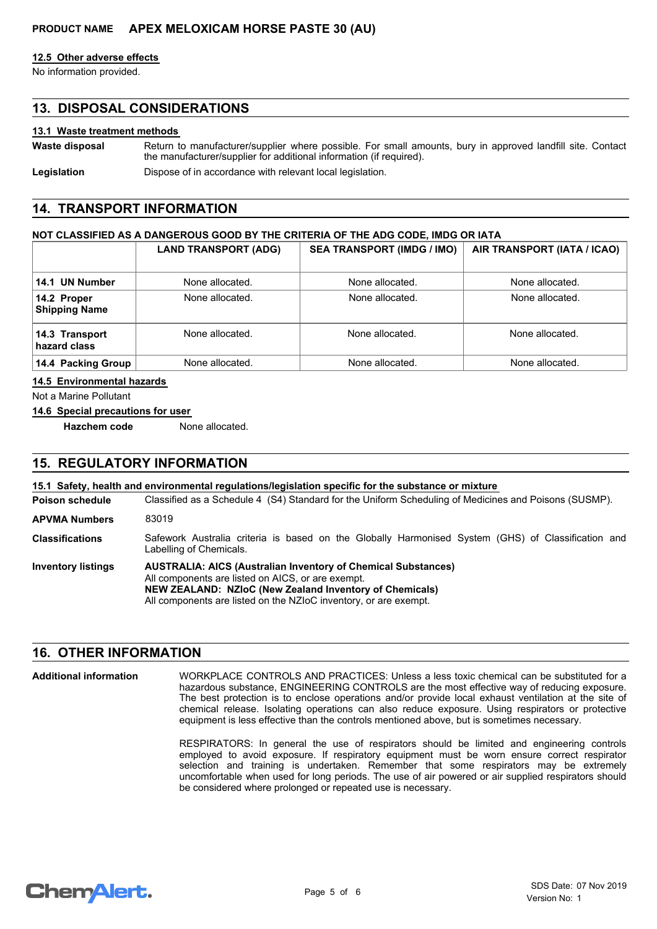#### **12.5 Other adverse effects**

No information provided.

## **13. DISPOSAL CONSIDERATIONS**

#### **13.1 Waste treatment methods**

Return to manufacturer/supplier where possible. For small amounts, bury in approved landfill site. Contact the manufacturer/supplier for additional information (if required). **Waste disposal**

Legislation **Dispose of in accordance with relevant local legislation.** 

## **14. TRANSPORT INFORMATION**

#### **NOT CLASSIFIED AS A DANGEROUS GOOD BY THE CRITERIA OF THE ADG CODE, IMDG OR IATA**

|                                     | <b>LAND TRANSPORT (ADG)</b> | <b>SEA TRANSPORT (IMDG / IMO)</b> | AIR TRANSPORT (IATA / ICAO) |
|-------------------------------------|-----------------------------|-----------------------------------|-----------------------------|
| 14.1 UN Number                      | None allocated.             | None allocated.                   | None allocated.             |
| 14.2 Proper<br><b>Shipping Name</b> | None allocated.             | None allocated.                   | None allocated.             |
| 14.3 Transport<br>hazard class      | None allocated.             | None allocated.                   | None allocated.             |
| 14.4 Packing Group                  | None allocated.             | None allocated.                   | None allocated.             |

#### **14.5 Environmental hazards**

Not a Marine Pollutant

#### **14.6 Special precautions for user**

**Hazchem code** None allocated.

## **15. REGULATORY INFORMATION**

#### Classified as a Schedule 4 (S4) Standard for the Uniform Scheduling of Medicines and Poisons (SUSMP). **15.1 Safety, health and environmental regulations/legislation specific for the substance or mixture Poison schedule AUSTRALIA: AICS (Australian Inventory of Chemical Substances)** All components are listed on AICS, or are exempt. **NEW ZEALAND: NZIoC (New Zealand Inventory of Chemicals)** All components are listed on the NZIoC inventory, or are exempt. **Inventory listings** Safework Australia criteria is based on the Globally Harmonised System (GHS) of Classification and Labelling of Chemicals. **Classifications APVMA Numbers** 83019

## **16. OTHER INFORMATION**

**Additional information**

WORKPLACE CONTROLS AND PRACTICES: Unless a less toxic chemical can be substituted for a hazardous substance, ENGINEERING CONTROLS are the most effective way of reducing exposure. The best protection is to enclose operations and/or provide local exhaust ventilation at the site of chemical release. Isolating operations can also reduce exposure. Using respirators or protective equipment is less effective than the controls mentioned above, but is sometimes necessary.

RESPIRATORS: In general the use of respirators should be limited and engineering controls employed to avoid exposure. If respiratory equipment must be worn ensure correct respirator selection and training is undertaken. Remember that some respirators may be extremely uncomfortable when used for long periods. The use of air powered or air supplied respirators should be considered where prolonged or repeated use is necessary.